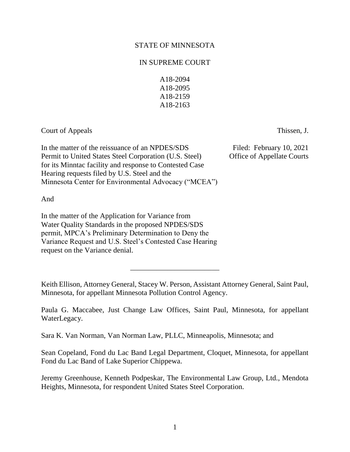# STATE OF MINNESOTA

# IN SUPREME COURT

A18-2094 A18-2095 A18-2159 A18-2163

Court of Appeals Thissen, J.

In the matter of the reissuance of an NPDES/SDS Filed: February 10, 2021 Permit to United States Steel Corporation (U.S. Steel) Office of Appellate Courts for its Minntac facility and response to Contested Case Hearing requests filed by U.S. Steel and the Minnesota Center for Environmental Advocacy ("MCEA")

And

In the matter of the Application for Variance from Water Quality Standards in the proposed NPDES/SDS permit, MPCA's Preliminary Determination to Deny the Variance Request and U.S. Steel's Contested Case Hearing request on the Variance denial.

Keith Ellison, Attorney General, Stacey W. Person, Assistant Attorney General, Saint Paul, Minnesota, for appellant Minnesota Pollution Control Agency.

\_\_\_\_\_\_\_\_\_\_\_\_\_\_\_\_\_\_\_\_\_\_\_\_

Paula G. Maccabee, Just Change Law Offices, Saint Paul, Minnesota, for appellant WaterLegacy.

Sara K. Van Norman, Van Norman Law, PLLC, Minneapolis, Minnesota; and

Sean Copeland, Fond du Lac Band Legal Department, Cloquet, Minnesota, for appellant Fond du Lac Band of Lake Superior Chippewa.

Jeremy Greenhouse, Kenneth Podpeskar, The Environmental Law Group, Ltd., Mendota Heights, Minnesota, for respondent United States Steel Corporation.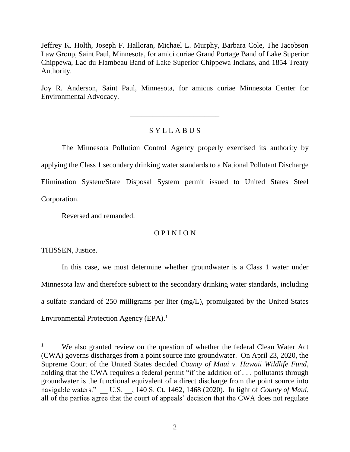Jeffrey K. Holth, Joseph F. Halloran, Michael L. Murphy, Barbara Cole, The Jacobson Law Group, Saint Paul, Minnesota, for amici curiae Grand Portage Band of Lake Superior Chippewa, Lac du Flambeau Band of Lake Superior Chippewa Indians, and 1854 Treaty Authority.

Joy R. Anderson, Saint Paul, Minnesota, for amicus curiae Minnesota Center for Environmental Advocacy.

# S Y L L A B U S

\_\_\_\_\_\_\_\_\_\_\_\_\_\_\_\_\_\_\_\_\_\_\_\_

The Minnesota Pollution Control Agency properly exercised its authority by applying the Class 1 secondary drinking water standards to a National Pollutant Discharge Elimination System/State Disposal System permit issued to United States Steel Corporation.

Reversed and remanded.

## O P I N I O N

THISSEN, Justice.

 $\overline{a}$ 

In this case, we must determine whether groundwater is a Class 1 water under Minnesota law and therefore subject to the secondary drinking water standards, including a sulfate standard of 250 milligrams per liter (mg/L), promulgated by the United States Environmental Protection Agency (EPA). 1

We also granted review on the question of whether the federal Clean Water Act (CWA) governs discharges from a point source into groundwater. On April 23, 2020, the Supreme Court of the United States decided *County of Maui v. Hawaii Wildlife Fund*, holding that the CWA requires a federal permit "if the addition of . . . pollutants through groundwater is the functional equivalent of a direct discharge from the point source into navigable waters." U.S. , 140 S. Ct. 1462, 1468 (2020). In light of *County of Maui*, all of the parties agree that the court of appeals' decision that the CWA does not regulate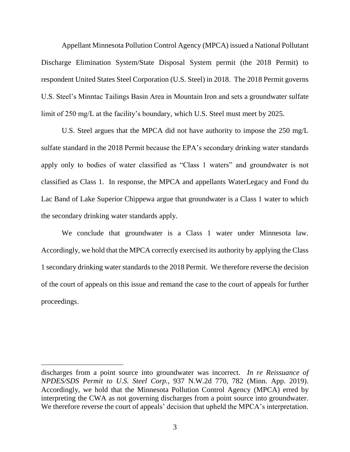Appellant Minnesota Pollution Control Agency (MPCA) issued a National Pollutant Discharge Elimination System/State Disposal System permit (the 2018 Permit) to respondent United States Steel Corporation (U.S. Steel) in 2018. The 2018 Permit governs U.S. Steel's Minntac Tailings Basin Area in Mountain Iron and sets a groundwater sulfate limit of 250 mg/L at the facility's boundary, which U.S. Steel must meet by 2025.

U.S. Steel argues that the MPCA did not have authority to impose the 250 mg/L sulfate standard in the 2018 Permit because the EPA's secondary drinking water standards apply only to bodies of water classified as "Class 1 waters" and groundwater is not classified as Class 1. In response, the MPCA and appellants WaterLegacy and Fond du Lac Band of Lake Superior Chippewa argue that groundwater is a Class 1 water to which the secondary drinking water standards apply.

We conclude that groundwater is a Class 1 water under Minnesota law. Accordingly, we hold that the MPCA correctly exercised its authority by applying the Class 1 secondary drinking water standards to the 2018 Permit. We therefore reverse the decision of the court of appeals on this issue and remand the case to the court of appeals for further proceedings.

discharges from a point source into groundwater was incorrect. *In re Reissuance of NPDES/SDS Permit to U.S. Steel Corp.*, 937 N.W.2d 770, 782 (Minn. App. 2019). Accordingly, we hold that the Minnesota Pollution Control Agency (MPCA) erred by interpreting the CWA as not governing discharges from a point source into groundwater. We therefore reverse the court of appeals' decision that upheld the MPCA's interpretation.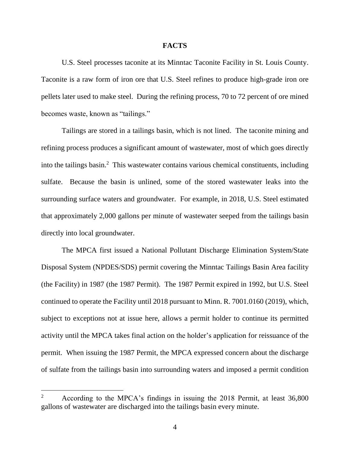### **FACTS**

U.S. Steel processes taconite at its Minntac Taconite Facility in St. Louis County. Taconite is a raw form of iron ore that U.S. Steel refines to produce high-grade iron ore pellets later used to make steel. During the refining process, 70 to 72 percent of ore mined becomes waste, known as "tailings."

Tailings are stored in a tailings basin, which is not lined. The taconite mining and refining process produces a significant amount of wastewater, most of which goes directly into the tailings basin. <sup>2</sup> This wastewater contains various chemical constituents, including sulfate. Because the basin is unlined, some of the stored wastewater leaks into the surrounding surface waters and groundwater. For example, in 2018, U.S. Steel estimated that approximately 2,000 gallons per minute of wastewater seeped from the tailings basin directly into local groundwater.

The MPCA first issued a National Pollutant Discharge Elimination System/State Disposal System (NPDES/SDS) permit covering the Minntac Tailings Basin Area facility (the Facility) in 1987 (the 1987 Permit). The 1987 Permit expired in 1992, but U.S. Steel continued to operate the Facility until 2018 pursuant to Minn. R. 7001.0160 (2019), which, subject to exceptions not at issue here, allows a permit holder to continue its permitted activity until the MPCA takes final action on the holder's application for reissuance of the permit. When issuing the 1987 Permit, the MPCA expressed concern about the discharge of sulfate from the tailings basin into surrounding waters and imposed a permit condition

 $\overline{a}$ 

<sup>&</sup>lt;sup>2</sup> According to the MPCA's findings in issuing the 2018 Permit, at least 36,800 gallons of wastewater are discharged into the tailings basin every minute.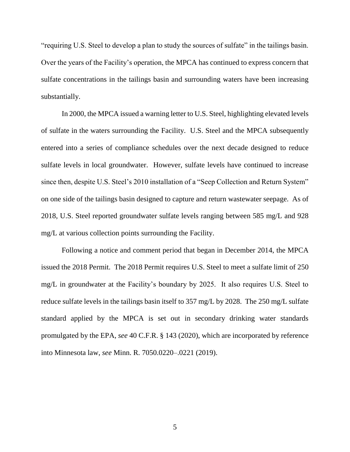"requiring U.S. Steel to develop a plan to study the sources of sulfate" in the tailings basin. Over the years of the Facility's operation, the MPCA has continued to express concern that sulfate concentrations in the tailings basin and surrounding waters have been increasing substantially.

In 2000, the MPCA issued a warning letter to U.S. Steel, highlighting elevated levels of sulfate in the waters surrounding the Facility. U.S. Steel and the MPCA subsequently entered into a series of compliance schedules over the next decade designed to reduce sulfate levels in local groundwater. However, sulfate levels have continued to increase since then, despite U.S. Steel's 2010 installation of a "Seep Collection and Return System" on one side of the tailings basin designed to capture and return wastewater seepage. As of 2018, U.S. Steel reported groundwater sulfate levels ranging between 585 mg/L and 928 mg/L at various collection points surrounding the Facility.

Following a notice and comment period that began in December 2014, the MPCA issued the 2018 Permit. The 2018 Permit requires U.S. Steel to meet a sulfate limit of 250 mg/L in groundwater at the Facility's boundary by 2025. It also requires U.S. Steel to reduce sulfate levels in the tailings basin itself to 357 mg/L by 2028. The 250 mg/L sulfate standard applied by the MPCA is set out in secondary drinking water standards promulgated by the EPA, *see* 40 C.F.R. § 143 (2020), which are incorporated by reference into Minnesota law, *see* Minn. R. 7050.0220–.0221 (2019).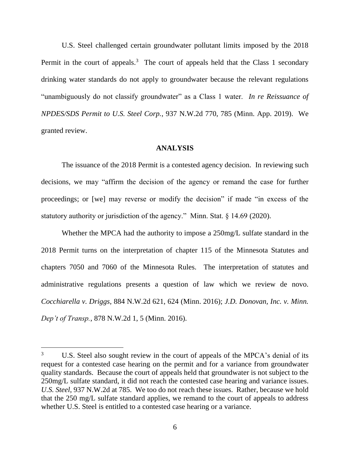U.S. Steel challenged certain groundwater pollutant limits imposed by the 2018 Permit in the court of appeals.<sup>3</sup> The court of appeals held that the Class 1 secondary drinking water standards do not apply to groundwater because the relevant regulations "unambiguously do not classify groundwater" as a Class 1 water. *In re Reissuance of NPDES/SDS Permit to U.S. Steel Corp.*, 937 N.W.2d 770, 785 (Minn. App. 2019). We granted review.

## **ANALYSIS**

The issuance of the 2018 Permit is a contested agency decision. In reviewing such decisions, we may "affirm the decision of the agency or remand the case for further proceedings; or [we] may reverse or modify the decision" if made "in excess of the statutory authority or jurisdiction of the agency." Minn. Stat. § 14.69 (2020).

Whether the MPCA had the authority to impose a 250mg/L sulfate standard in the 2018 Permit turns on the interpretation of chapter 115 of the Minnesota Statutes and chapters 7050 and 7060 of the Minnesota Rules. The interpretation of statutes and administrative regulations presents a question of law which we review de novo. *Cocchiarella v. Driggs*, 884 N.W.2d 621, 624 (Minn. 2016); *J.D. Donovan, Inc. v. Minn. Dep't of Transp.*, 878 N.W.2d 1, 5 (Minn. 2016).

<sup>&</sup>lt;sup>3</sup> U.S. Steel also sought review in the court of appeals of the MPCA's denial of its request for a contested case hearing on the permit and for a variance from groundwater quality standards. Because the court of appeals held that groundwater is not subject to the 250mg/L sulfate standard, it did not reach the contested case hearing and variance issues. *U.S. Steel*, 937 N.W.2d at 785. We too do not reach these issues. Rather, because we hold that the 250 mg/L sulfate standard applies, we remand to the court of appeals to address whether U.S. Steel is entitled to a contested case hearing or a variance.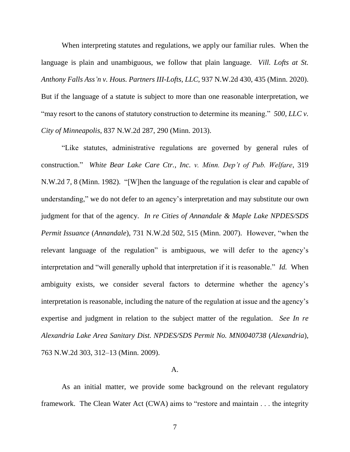When interpreting statutes and regulations, we apply our familiar rules. When the language is plain and unambiguous, we follow that plain language. *Vill. Lofts at St. Anthony Falls Ass'n v. Hous. Partners III-Lofts, LLC*, 937 N.W.2d 430, 435 (Minn. 2020). But if the language of a statute is subject to more than one reasonable interpretation, we "may resort to the canons of statutory construction to determine its meaning." *500, LLC v. City of Minneapolis*, 837 N.W.2d 287, 290 (Minn. 2013).

"Like statutes, administrative regulations are governed by general rules of construction." *White Bear Lake Care Ctr., Inc. v. Minn. Dep't of Pub. Welfare*, 319 N.W.2d 7, 8 (Minn. 1982). "[W]hen the language of the regulation is clear and capable of understanding," we do not defer to an agency's interpretation and may substitute our own judgment for that of the agency. *In re Cities of Annandale & Maple Lake NPDES/SDS Permit Issuance* (*Annandale*), 731 N.W.2d 502, 515 (Minn. 2007).However, "when the relevant language of the regulation" is ambiguous, we will defer to the agency's interpretation and "will generally uphold that interpretation if it is reasonable." *Id.* When ambiguity exists, we consider several factors to determine whether the agency's interpretation is reasonable, including the nature of the regulation at issue and the agency's expertise and judgment in relation to the subject matter of the regulation. *See In re Alexandria Lake Area Sanitary Dist. NPDES/SDS Permit No. MN0040738* (*Alexandria*), 763 N.W.2d 303, 312–13 (Minn. 2009).

### A.

As an initial matter, we provide some background on the relevant regulatory framework. The Clean Water Act (CWA) aims to "restore and maintain . . . the integrity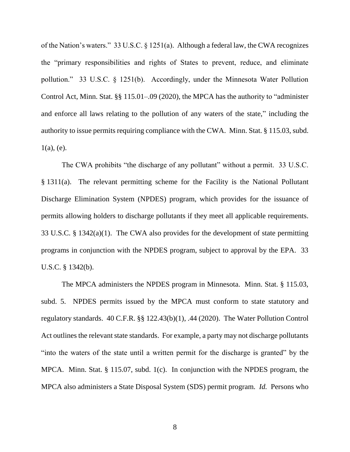of the Nation's waters." 33 U.S.C. § 1251(a). Although a federal law, the CWA recognizes the "primary responsibilities and rights of States to prevent, reduce, and eliminate pollution." 33 U.S.C. § 1251(b). Accordingly, under the Minnesota Water Pollution Control Act, Minn. Stat. §§ 115.01–.09 (2020), the MPCA has the authority to "administer and enforce all laws relating to the pollution of any waters of the state," including the authority to issue permits requiring compliance with the CWA. Minn. Stat. § 115.03, subd.  $1(a)$ , (e).

The CWA prohibits "the discharge of any pollutant" without a permit. 33 U.S.C. § 1311(a). The relevant permitting scheme for the Facility is the National Pollutant Discharge Elimination System (NPDES) program, which provides for the issuance of permits allowing holders to discharge pollutants if they meet all applicable requirements. 33 U.S.C. § 1342(a)(1). The CWA also provides for the development of state permitting programs in conjunction with the NPDES program, subject to approval by the EPA. 33 U.S.C. § 1342(b).

The MPCA administers the NPDES program in Minnesota. Minn. Stat. § 115.03, subd. 5. NPDES permits issued by the MPCA must conform to state statutory and regulatory standards. 40 C.F.R. §§ 122.43(b)(1), .44 (2020). The Water Pollution Control Act outlines the relevant state standards. For example, a party may not discharge pollutants "into the waters of the state until a written permit for the discharge is granted" by the MPCA. Minn. Stat. § 115.07, subd. 1(c). In conjunction with the NPDES program, the MPCA also administers a State Disposal System (SDS) permit program. *Id.* Persons who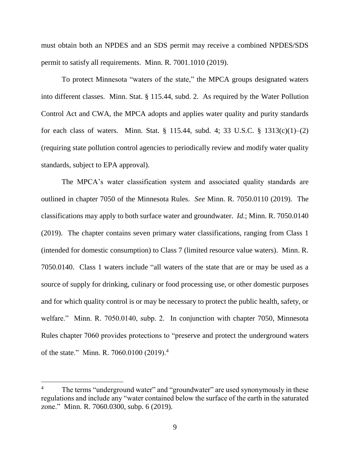must obtain both an NPDES and an SDS permit may receive a combined NPDES/SDS permit to satisfy all requirements. Minn. R. 7001.1010 (2019).

To protect Minnesota "waters of the state," the MPCA groups designated waters into different classes. Minn. Stat. § 115.44, subd. 2. As required by the Water Pollution Control Act and CWA, the MPCA adopts and applies water quality and purity standards for each class of waters. Minn. Stat. § 115.44, subd. 4; 33 U.S.C. § 1313(c)(1)–(2) (requiring state pollution control agencies to periodically review and modify water quality standards, subject to EPA approval).

The MPCA's water classification system and associated quality standards are outlined in chapter 7050 of the Minnesota Rules. *See* Minn. R. 7050.0110 (2019). The classifications may apply to both surface water and groundwater. *Id.*; Minn. R. 7050.0140 (2019). The chapter contains seven primary water classifications, ranging from Class 1 (intended for domestic consumption) to Class 7 (limited resource value waters). Minn. R. 7050.0140. Class 1 waters include "all waters of the state that are or may be used as a source of supply for drinking, culinary or food processing use, or other domestic purposes and for which quality control is or may be necessary to protect the public health, safety, or welfare." Minn. R. 7050.0140, subp. 2. In conjunction with chapter 7050, Minnesota Rules chapter 7060 provides protections to "preserve and protect the underground waters of the state." Minn. R. 7060.0100 (2019).<sup>4</sup>

The terms "underground water" and "groundwater" are used synonymously in these regulations and include any "water contained below the surface of the earth in the saturated zone." Minn. R. 7060.0300, subp. 6 (2019).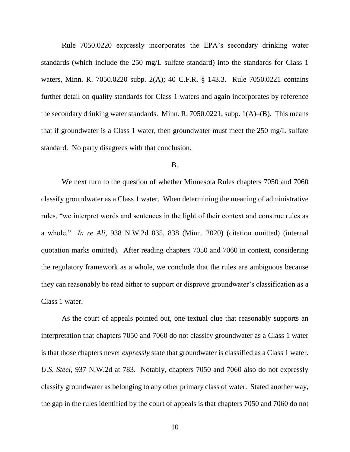Rule 7050.0220 expressly incorporates the EPA's secondary drinking water standards (which include the 250 mg/L sulfate standard) into the standards for Class 1 waters, Minn. R. 7050.0220 subp. 2(A); 40 C.F.R. § 143.3. Rule 7050.0221 contains further detail on quality standards for Class 1 waters and again incorporates by reference the secondary drinking water standards. Minn. R. 7050.0221, subp.  $1(A)$ –(B). This means that if groundwater is a Class 1 water, then groundwater must meet the 250 mg/L sulfate standard. No party disagrees with that conclusion.

### B.

We next turn to the question of whether Minnesota Rules chapters 7050 and 7060 classify groundwater as a Class 1 water. When determining the meaning of administrative rules, "we interpret words and sentences in the light of their context and construe rules as a whole." *In re Ali*, 938 N.W.2d 835, 838 (Minn. 2020) (citation omitted) (internal quotation marks omitted). After reading chapters 7050 and 7060 in context, considering the regulatory framework as a whole, we conclude that the rules are ambiguous because they can reasonably be read either to support or disprove groundwater's classification as a Class 1 water.

As the court of appeals pointed out, one textual clue that reasonably supports an interpretation that chapters 7050 and 7060 do not classify groundwater as a Class 1 water is that those chapters never *expressly* state that groundwater is classified as a Class 1 water. *U.S. Steel*, 937 N.W.2d at 783. Notably, chapters 7050 and 7060 also do not expressly classify groundwater as belonging to any other primary class of water. Stated another way, the gap in the rules identified by the court of appeals is that chapters 7050 and 7060 do not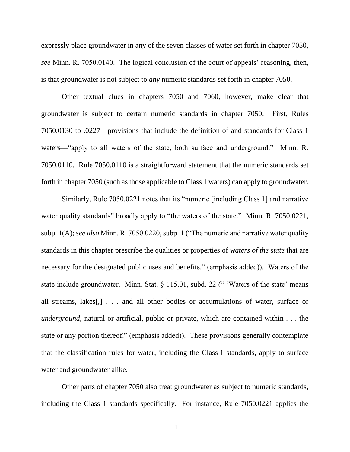expressly place groundwater in any of the seven classes of water set forth in chapter 7050, *see* Minn. R. 7050.0140. The logical conclusion of the court of appeals' reasoning, then, is that groundwater is not subject to *any* numeric standards set forth in chapter 7050.

Other textual clues in chapters 7050 and 7060, however, make clear that groundwater is subject to certain numeric standards in chapter 7050. First, Rules 7050.0130 to .0227—provisions that include the definition of and standards for Class 1 waters—"apply to all waters of the state, both surface and underground." Minn. R. 7050.0110. Rule 7050.0110 is a straightforward statement that the numeric standards set forth in chapter 7050 (such as those applicable to Class 1 waters) can apply to groundwater.

Similarly, Rule 7050.0221 notes that its "numeric [including Class 1] and narrative water quality standards" broadly apply to "the waters of the state." Minn. R. 7050.0221, subp. 1(A); *see also* Minn. R. 7050.0220, subp. 1 ("The numeric and narrative water quality standards in this chapter prescribe the qualities or properties of *waters of the state* that are necessary for the designated public uses and benefits." (emphasis added)). Waters of the state include groundwater. Minn. Stat. § 115.01, subd. 22 (" 'Waters of the state' means all streams, lakes[,] . . . and all other bodies or accumulations of water, surface or *underground*, natural or artificial, public or private, which are contained within . . . the state or any portion thereof." (emphasis added)). These provisions generally contemplate that the classification rules for water, including the Class 1 standards, apply to surface water and groundwater alike.

Other parts of chapter 7050 also treat groundwater as subject to numeric standards, including the Class 1 standards specifically. For instance, Rule 7050.0221 applies the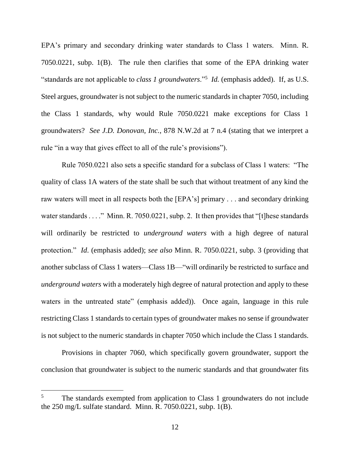EPA's primary and secondary drinking water standards to Class 1 waters. Minn. R. 7050.0221, subp. 1(B). The rule then clarifies that some of the EPA drinking water "standards are not applicable to *class 1 groundwaters*."<sup>5</sup> *Id.* (emphasis added). If, as U.S. Steel argues, groundwater is not subject to the numeric standards in chapter 7050, including the Class 1 standards, why would Rule 7050.0221 make exceptions for Class 1 groundwaters? *See J.D. Donovan, Inc.*, 878 N.W.2d at 7 n.4 (stating that we interpret a rule "in a way that gives effect to all of the rule's provisions").

Rule 7050.0221 also sets a specific standard for a subclass of Class 1 waters: "The quality of class 1A waters of the state shall be such that without treatment of any kind the raw waters will meet in all respects both the [EPA's] primary . . . and secondary drinking water standards . . . ." Minn. R. 7050.0221, subp. 2. It then provides that "[t] hese standards will ordinarily be restricted to *underground waters* with a high degree of natural protection." *Id*. (emphasis added); *see also* Minn. R. 7050.0221, subp. 3 (providing that another subclass of Class 1 waters—Class 1B—"will ordinarily be restricted to surface and *underground waters* with a moderately high degree of natural protection and apply to these waters in the untreated state" (emphasis added)). Once again, language in this rule restricting Class 1 standards to certain types of groundwater makes no sense if groundwater is not subject to the numeric standards in chapter 7050 which include the Class 1 standards.

Provisions in chapter 7060, which specifically govern groundwater, support the conclusion that groundwater is subject to the numeric standards and that groundwater fits

 $\overline{a}$ 

<sup>&</sup>lt;sup>5</sup> The standards exempted from application to Class 1 groundwaters do not include the 250 mg/L sulfate standard. Minn. R. 7050.0221, subp. 1(B).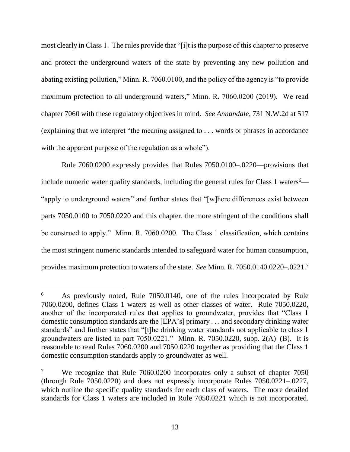most clearly in Class 1. The rules provide that "[i]t is the purpose of this chapter to preserve and protect the underground waters of the state by preventing any new pollution and abating existing pollution," Minn. R. 7060.0100, and the policy of the agency is "to provide maximum protection to all underground waters," Minn. R. 7060.0200 (2019). We read chapter 7060 with these regulatory objectives in mind. *See Annandale*, 731 N.W.2d at 517 (explaining that we interpret "the meaning assigned to . . . words or phrases in accordance with the apparent purpose of the regulation as a whole").

Rule 7060.0200 expressly provides that Rules 7050.0100–.0220—provisions that include numeric water quality standards, including the general rules for Class 1 waters $6-$ "apply to underground waters" and further states that "[w]here differences exist between parts 7050.0100 to 7050.0220 and this chapter, the more stringent of the conditions shall be construed to apply." Minn. R. 7060.0200. The Class 1 classification, which contains the most stringent numeric standards intended to safeguard water for human consumption, provides maximum protection to waters of the state. *See* Minn. R. 7050.0140.0220–.0221.<sup>7</sup>

<sup>&</sup>lt;sup>6</sup> As previously noted, Rule 7050.0140, one of the rules incorporated by Rule 7060.0200, defines Class 1 waters as well as other classes of water. Rule 7050.0220, another of the incorporated rules that applies to groundwater, provides that "Class 1 domestic consumption standards are the [EPA's] primary . . . and secondary drinking water standards" and further states that "[t]he drinking water standards not applicable to class 1 groundwaters are listed in part 7050.0221." Minn. R. 7050.0220, subp. 2(A)–(B). It is reasonable to read Rules 7060.0200 and 7050.0220 together as providing that the Class 1 domestic consumption standards apply to groundwater as well.

<sup>&</sup>lt;sup>7</sup> We recognize that Rule 7060.0200 incorporates only a subset of chapter 7050 (through Rule 7050.0220) and does not expressly incorporate Rules 7050.0221–.0227, which outline the specific quality standards for each class of waters. The more detailed standards for Class 1 waters are included in Rule 7050.0221 which is not incorporated.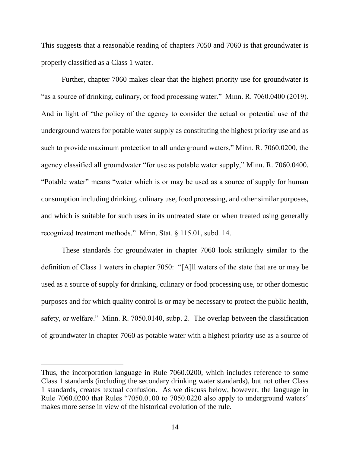This suggests that a reasonable reading of chapters 7050 and 7060 is that groundwater is properly classified as a Class 1 water.

Further, chapter 7060 makes clear that the highest priority use for groundwater is "as a source of drinking, culinary, or food processing water." Minn. R. 7060.0400 (2019). And in light of "the policy of the agency to consider the actual or potential use of the underground waters for potable water supply as constituting the highest priority use and as such to provide maximum protection to all underground waters," Minn. R. 7060.0200, the agency classified all groundwater "for use as potable water supply," Minn. R. 7060.0400. "Potable water" means "water which is or may be used as a source of supply for human consumption including drinking, culinary use, food processing, and other similar purposes, and which is suitable for such uses in its untreated state or when treated using generally recognized treatment methods." Minn. Stat. § 115.01, subd. 14.

These standards for groundwater in chapter 7060 look strikingly similar to the definition of Class 1 waters in chapter 7050: "[A]ll waters of the state that are or may be used as a source of supply for drinking, culinary or food processing use, or other domestic purposes and for which quality control is or may be necessary to protect the public health, safety, or welfare." Minn. R. 7050.0140, subp. 2. The overlap between the classification of groundwater in chapter 7060 as potable water with a highest priority use as a source of

Thus, the incorporation language in Rule 7060.0200, which includes reference to some Class 1 standards (including the secondary drinking water standards), but not other Class 1 standards, creates textual confusion. As we discuss below, however, the language in Rule 7060.0200 that Rules "7050.0100 to 7050.0220 also apply to underground waters" makes more sense in view of the historical evolution of the rule.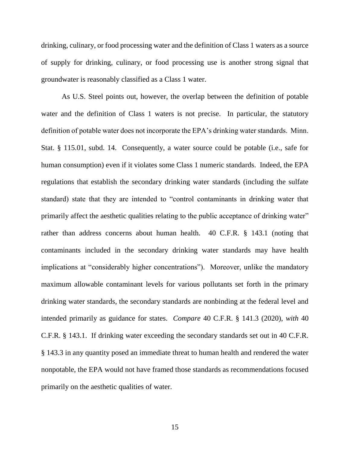drinking, culinary, or food processing water and the definition of Class 1 waters as a source of supply for drinking, culinary, or food processing use is another strong signal that groundwater is reasonably classified as a Class 1 water.

As U.S. Steel points out, however, the overlap between the definition of potable water and the definition of Class 1 waters is not precise. In particular, the statutory definition of potable water does not incorporate the EPA's drinking water standards. Minn. Stat. § 115.01, subd. 14. Consequently, a water source could be potable (i.e., safe for human consumption) even if it violates some Class 1 numeric standards. Indeed, the EPA regulations that establish the secondary drinking water standards (including the sulfate standard) state that they are intended to "control contaminants in drinking water that primarily affect the aesthetic qualities relating to the public acceptance of drinking water" rather than address concerns about human health. 40 C.F.R. § 143.1 (noting that contaminants included in the secondary drinking water standards may have health implications at "considerably higher concentrations"). Moreover, unlike the mandatory maximum allowable contaminant levels for various pollutants set forth in the primary drinking water standards, the secondary standards are nonbinding at the federal level and intended primarily as guidance for states. *Compare* 40 C.F.R. § 141.3 (2020), *with* 40 C.F.R. § 143.1. If drinking water exceeding the secondary standards set out in 40 C.F.R. § 143.3 in any quantity posed an immediate threat to human health and rendered the water nonpotable, the EPA would not have framed those standards as recommendations focused primarily on the aesthetic qualities of water.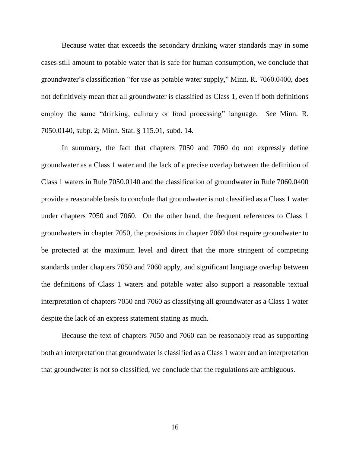Because water that exceeds the secondary drinking water standards may in some cases still amount to potable water that is safe for human consumption, we conclude that groundwater's classification "for use as potable water supply," Minn. R. 7060.0400, does not definitively mean that all groundwater is classified as Class 1, even if both definitions employ the same "drinking, culinary or food processing" language. *See* Minn. R. 7050.0140, subp. 2; Minn. Stat. § 115.01, subd. 14.

In summary, the fact that chapters 7050 and 7060 do not expressly define groundwater as a Class 1 water and the lack of a precise overlap between the definition of Class 1 waters in Rule 7050.0140 and the classification of groundwater in Rule 7060.0400 provide a reasonable basis to conclude that groundwater is not classified as a Class 1 water under chapters 7050 and 7060. On the other hand, the frequent references to Class 1 groundwaters in chapter 7050, the provisions in chapter 7060 that require groundwater to be protected at the maximum level and direct that the more stringent of competing standards under chapters 7050 and 7060 apply, and significant language overlap between the definitions of Class 1 waters and potable water also support a reasonable textual interpretation of chapters 7050 and 7060 as classifying all groundwater as a Class 1 water despite the lack of an express statement stating as much.

Because the text of chapters 7050 and 7060 can be reasonably read as supporting both an interpretation that groundwater is classified as a Class 1 water and an interpretation that groundwater is not so classified, we conclude that the regulations are ambiguous.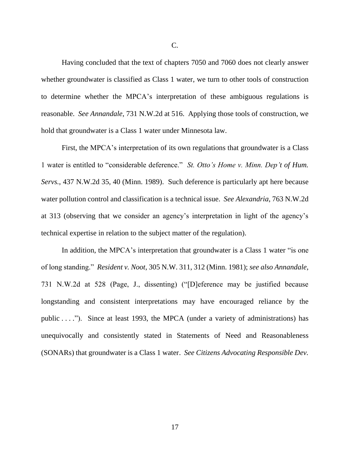Having concluded that the text of chapters 7050 and 7060 does not clearly answer whether groundwater is classified as Class 1 water, we turn to other tools of construction to determine whether the MPCA's interpretation of these ambiguous regulations is reasonable. *See Annandale*, 731 N.W.2d at 516. Applying those tools of construction, we hold that groundwater is a Class 1 water under Minnesota law.

First, the MPCA's interpretation of its own regulations that groundwater is a Class 1 water is entitled to "considerable deference." *St. Otto's Home v. Minn. Dep't of Hum. Servs.*, 437 N.W.2d 35, 40 (Minn. 1989). Such deference is particularly apt here because water pollution control and classification is a technical issue. *See Alexandria*, 763 N.W.2d at 313 (observing that we consider an agency's interpretation in light of the agency's technical expertise in relation to the subject matter of the regulation).

In addition, the MPCA's interpretation that groundwater is a Class 1 water "is one of long standing." *Resident v. Noot*, 305 N.W. 311, 312 (Minn. 1981); *see also Annandale*, 731 N.W.2d at 528 (Page, J., dissenting) ("[D]eference may be justified because longstanding and consistent interpretations may have encouraged reliance by the public . . . ."). Since at least 1993, the MPCA (under a variety of administrations) has unequivocally and consistently stated in Statements of Need and Reasonableness (SONARs) that groundwater is a Class 1 water. *See Citizens Advocating Responsible Dev.*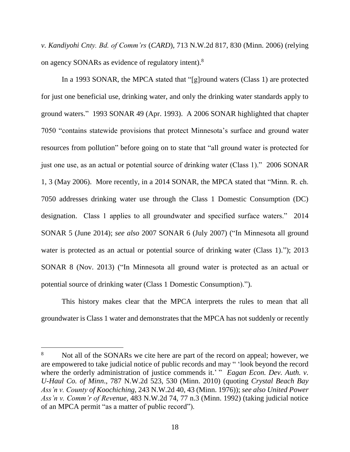*v. Kandiyohi Cnty. Bd. of Comm'rs* (*CARD*), 713 N.W.2d 817, 830 (Minn. 2006) (relying on agency SONARs as evidence of regulatory intent).<sup>8</sup>

In a 1993 SONAR, the MPCA stated that "[g]round waters (Class 1) are protected for just one beneficial use, drinking water, and only the drinking water standards apply to ground waters." 1993 SONAR 49 (Apr. 1993). A 2006 SONAR highlighted that chapter 7050 "contains statewide provisions that protect Minnesota's surface and ground water resources from pollution" before going on to state that "all ground water is protected for just one use, as an actual or potential source of drinking water (Class 1)." 2006 SONAR 1, 3 (May 2006). More recently, in a 2014 SONAR, the MPCA stated that "Minn. R. ch. 7050 addresses drinking water use through the Class 1 Domestic Consumption (DC) designation. Class 1 applies to all groundwater and specified surface waters." 2014 SONAR 5 (June 2014); *see also* 2007 SONAR 6 (July 2007) ("In Minnesota all ground water is protected as an actual or potential source of drinking water (Class 1)."); 2013 SONAR 8 (Nov. 2013) ("In Minnesota all ground water is protected as an actual or potential source of drinking water (Class 1 Domestic Consumption).").

This history makes clear that the MPCA interprets the rules to mean that all groundwater is Class 1 water and demonstrates that the MPCA has not suddenly or recently

<sup>&</sup>lt;sup>8</sup> Not all of the SONARs we cite here are part of the record on appeal; however, we are empowered to take judicial notice of public records and may " 'look beyond the record where the orderly administration of justice commends it.' " *Eagan Econ. Dev. Auth. v. U-Haul Co. of Minn*., 787 N.W.2d 523, 530 (Minn. 2010) (quoting *Crystal Beach Bay Ass'n v. County of Koochiching*, 243 N.W.2d 40, 43 (Minn. 1976)); *see also United Power Ass'n v. Comm'r of Revenue*, 483 N.W.2d 74, 77 n.3 (Minn. 1992) (taking judicial notice of an MPCA permit "as a matter of public record").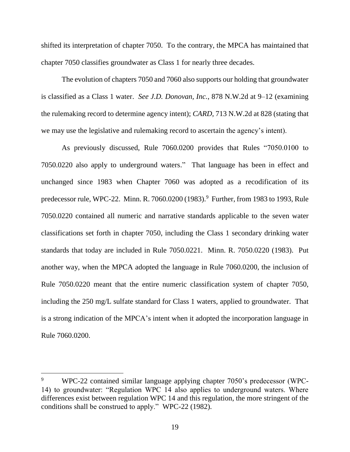shifted its interpretation of chapter 7050. To the contrary, the MPCA has maintained that chapter 7050 classifies groundwater as Class 1 for nearly three decades.

The evolution of chapters 7050 and 7060 also supports our holding that groundwater is classified as a Class 1 water. *See J.D. Donovan, Inc.*, 878 N.W.2d at 9–12 (examining the rulemaking record to determine agency intent); *CARD*, 713 N.W.2d at 828 (stating that we may use the legislative and rulemaking record to ascertain the agency's intent).

As previously discussed, Rule 7060.0200 provides that Rules "7050.0100 to 7050.0220 also apply to underground waters." That language has been in effect and unchanged since 1983 when Chapter 7060 was adopted as a recodification of its predecessor rule, WPC-22. Minn. R. 7060.0200 (1983). 9 Further, from 1983 to 1993, Rule 7050.0220 contained all numeric and narrative standards applicable to the seven water classifications set forth in chapter 7050, including the Class 1 secondary drinking water standards that today are included in Rule 7050.0221. Minn. R. 7050.0220 (1983). Put another way, when the MPCA adopted the language in Rule 7060.0200, the inclusion of Rule 7050.0220 meant that the entire numeric classification system of chapter 7050, including the 250 mg/L sulfate standard for Class 1 waters, applied to groundwater. That is a strong indication of the MPCA's intent when it adopted the incorporation language in Rule 7060.0200.

<sup>9</sup> WPC-22 contained similar language applying chapter 7050's predecessor (WPC-14) to groundwater: "Regulation WPC 14 also applies to underground waters. Where differences exist between regulation WPC 14 and this regulation, the more stringent of the conditions shall be construed to apply." WPC-22 (1982).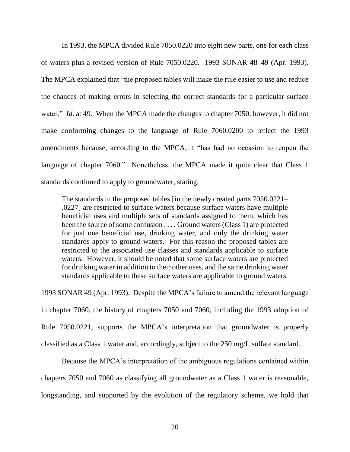In 1993, the MPCA divided Rule 7050.0220 into eight new parts, one for each class of waters plus a revised version of Rule 7050.0220. 1993 SONAR 48–49 (Apr. 1993). The MPCA explained that "the proposed tables will make the rule easier to use and reduce the chances of making errors in selecting the correct standards for a particular surface water." *Id.* at 49. When the MPCA made the changes to chapter 7050, however, it did not make conforming changes to the language of Rule 7060.0200 to reflect the 1993 amendments because, according to the MPCA, it "has had no occasion to reopen the language of chapter 7060." Nonetheless, the MPCA made it quite clear that Class 1 standards continued to apply to groundwater, stating:

The standards in the proposed tables [in the newly created parts 7050.0221– .0227] are restricted to surface waters because surface waters have multiple beneficial uses and multiple sets of standards assigned to them, which has been the source of some confusion . . . . Ground waters (Class 1) are protected for just one beneficial use, drinking water, and only the drinking water standards apply to ground waters. For this reason the proposed tables are restricted to the associated use classes and standards applicable to surface waters. However, it should be noted that some surface waters are protected for drinking water in addition to their other uses, and the same drinking water standards applicable to these surface waters are applicable to ground waters.

1993 SONAR 49 (Apr. 1993). Despite the MPCA's failure to amend the relevant language in chapter 7060, the history of chapters 7050 and 7060, including the 1993 adoption of Rule 7050.0221, supports the MPCA's interpretation that groundwater is properly classified as a Class 1 water and, accordingly, subject to the 250 mg/L sulfate standard*.*

Because the MPCA's interpretation of the ambiguous regulations contained within chapters 7050 and 7060 as classifying all groundwater as a Class 1 water is reasonable, longstanding, and supported by the evolution of the regulatory scheme, we hold that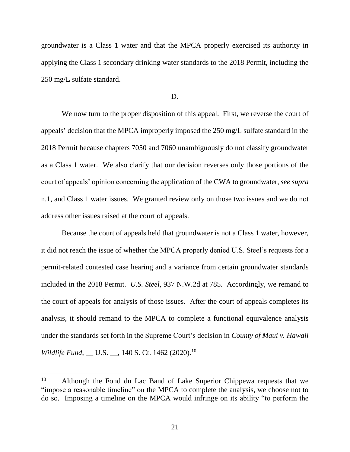groundwater is a Class 1 water and that the MPCA properly exercised its authority in applying the Class 1 secondary drinking water standards to the 2018 Permit, including the 250 mg/L sulfate standard.

#### D.

We now turn to the proper disposition of this appeal. First, we reverse the court of appeals' decision that the MPCA improperly imposed the 250 mg/L sulfate standard in the 2018 Permit because chapters 7050 and 7060 unambiguously do not classify groundwater as a Class 1 water. We also clarify that our decision reverses only those portions of the court of appeals' opinion concerning the application of the CWA to groundwater, *see supra* n.1, and Class 1 water issues. We granted review only on those two issues and we do not address other issues raised at the court of appeals.

Because the court of appeals held that groundwater is not a Class 1 water, however, it did not reach the issue of whether the MPCA properly denied U.S. Steel's requests for a permit-related contested case hearing and a variance from certain groundwater standards included in the 2018 Permit. *U.S. Steel*, 937 N.W.2d at 785. Accordingly, we remand to the court of appeals for analysis of those issues. After the court of appeals completes its analysis, it should remand to the MPCA to complete a functional equivalence analysis under the standards set forth in the Supreme Court's decision in *County of Maui v. Hawaii Wildlife Fund*, *\_\_ U.S. \_\_, 140 S. Ct. 1462 (2020).*<sup>10</sup>

<sup>&</sup>lt;sup>10</sup> Although the Fond du Lac Band of Lake Superior Chippewa requests that we "impose a reasonable timeline" on the MPCA to complete the analysis, we choose not to do so. Imposing a timeline on the MPCA would infringe on its ability "to perform the